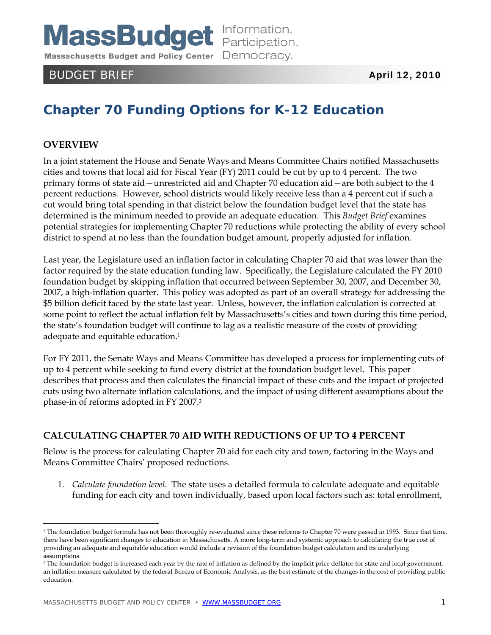**MassBudget** Information. Massachusetts Budget and Policy Center Democracy.

# BUDGET BRIEF April 12, 2010

# **Chapter 70 Funding Options for K-12 Education**

### **OVERVIEW**

<u>.</u>

In a joint statement the House and Senate Ways and Means Committee Chairs notified Massachusetts cities and towns that local aid for Fiscal Year (FY) 2011 could be cut by up to 4 percent. The two primary forms of state aid—unrestricted aid and Chapter 70 education aid—are both subject to the 4 percent reductions. However, school districts would likely receive less than a 4 percent cut if such a cut would bring total spending in that district below the foundation budget level that the state has determined is the minimum needed to provide an adequate education. This *Budget Brief* examines potential strategies for implementing Chapter 70 reductions while protecting the ability of every school district to spend at no less than the foundation budget amount, properly adjusted for inflation.

Last year, the Legislature used an inflation factor in calculating Chapter 70 aid that was lower than the factor required by the state education funding law. Specifically, the Legislature calculated the FY 2010 foundation budget by skipping inflation that occurred between September 30, 2007, and December 30, 2007, a high-inflation quarter. This policy was adopted as part of an overall strategy for addressing the \$5 billion deficit faced by the state last year. Unless, however, the inflation calculation is corrected at some point to reflect the actual inflation felt by Massachusetts's cities and town during this time period, the state's foundation budget will continue to lag as a realistic measure of the costs of providing adequate and equitable education.1

For FY 2011, the Senate Ways and Means Committee has developed a process for implementing cuts of up to 4 percent while seeking to fund every district at the foundation budget level. This paper describes that process and then calculates the financial impact of these cuts and the impact of projected cuts using two alternate inflation calculations, and the impact of using different assumptions about the phase-in of reforms adopted in FY 2007.2

#### **CALCULATING CHAPTER 70 AID WITH REDUCTIONS OF UP TO 4 PERCENT**

Below is the process for calculating Chapter 70 aid for each city and town, factoring in the Ways and Means Committee Chairs' proposed reductions.

1. *Calculate foundation level.* The state uses a detailed formula to calculate adequate and equitable funding for each city and town individually, based upon local factors such as: total enrollment,

<sup>&</sup>lt;sup>1</sup> The foundation budget formula has not been thoroughly re-evaluated since these reforms to Chapter 70 were passed in 1993. Since that time, there have been significant changes to education in Massachusetts. A more long-term and systemic approach to calculating the true cost of providing an adequate and equitable education would include a revision of the foundation budget calculation and its underlying assumptions.

<sup>&</sup>lt;sup>2</sup> The foundation budget is increased each year by the rate of inflation as defined by the implicit price deflator for state and local government, an inflation measure calculated by the federal Bureau of Economic Analysis, as the best estimate of the changes in the cost of providing public education.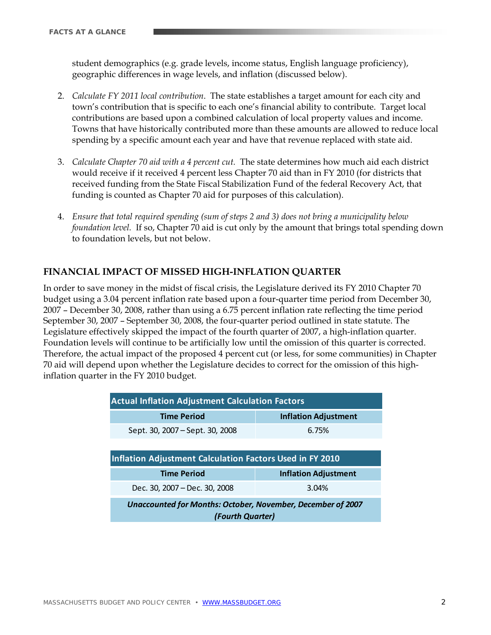student demographics (e.g. grade levels, income status, English language proficiency), geographic differences in wage levels, and inflation (discussed below).

- 2. *Calculate FY 2011 local contribution*. The state establishes a target amount for each city and town's contribution that is specific to each one's financial ability to contribute. Target local contributions are based upon a combined calculation of local property values and income. Towns that have historically contributed more than these amounts are allowed to reduce local spending by a specific amount each year and have that revenue replaced with state aid.
- 3. *Calculate Chapter 70 aid with a 4 percent cut.* The state determines how much aid each district would receive if it received 4 percent less Chapter 70 aid than in FY 2010 (for districts that received funding from the State Fiscal Stabilization Fund of the federal Recovery Act, that funding is counted as Chapter 70 aid for purposes of this calculation).
- 4. *Ensure that total required spending (sum of steps 2 and 3) does not bring a municipality below foundation level.* If so, Chapter 70 aid is cut only by the amount that brings total spending down to foundation levels, but not below.

## **FINANCIAL IMPACT OF MISSED HIGH-INFLATION QUARTER**

In order to save money in the midst of fiscal crisis, the Legislature derived its FY 2010 Chapter 70 budget using a 3.04 percent inflation rate based upon a four-quarter time period from December 30, 2007 – December 30, 2008, rather than using a 6.75 percent inflation rate reflecting the time period September 30, 2007 – September 30, 2008, the four-quarter period outlined in state statute. The Legislature effectively skipped the impact of the fourth quarter of 2007, a high-inflation quarter. Foundation levels will continue to be artificially low until the omission of this quarter is corrected. Therefore, the actual impact of the proposed 4 percent cut (or less, for some communities) in Chapter 70 aid will depend upon whether the Legislature decides to correct for the omission of this highinflation quarter in the FY 2010 budget.

| <b>Actual Inflation Adjustment Calculation Factors</b>      |                             |  |  |  |  |  |  |  |
|-------------------------------------------------------------|-----------------------------|--|--|--|--|--|--|--|
| <b>Inflation Adjustment</b><br><b>Time Period</b>           |                             |  |  |  |  |  |  |  |
| Sept. 30, 2007 – Sept. 30, 2008                             | 6.75%                       |  |  |  |  |  |  |  |
|                                                             |                             |  |  |  |  |  |  |  |
| Inflation Adjustment Calculation Factors Used in FY 2010    |                             |  |  |  |  |  |  |  |
| <b>Time Period</b>                                          | <b>Inflation Adjustment</b> |  |  |  |  |  |  |  |
| Dec. 30, 2007 – Dec. 30, 2008                               | 3.04%                       |  |  |  |  |  |  |  |
| Unaccounted for Months: October, November, December of 2007 |                             |  |  |  |  |  |  |  |
| (Fourth Quarter)                                            |                             |  |  |  |  |  |  |  |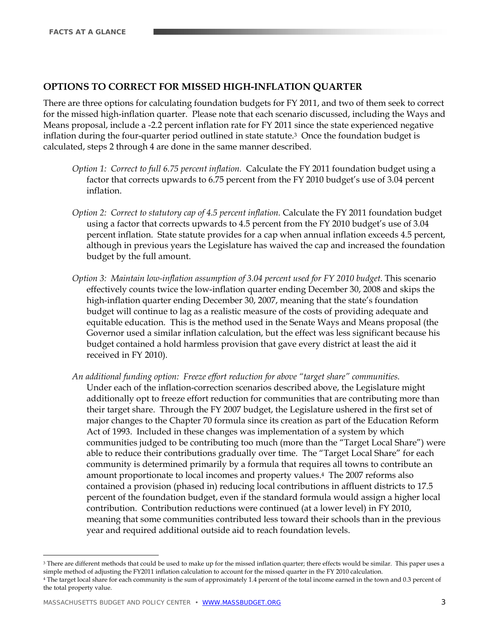#### **OPTIONS TO CORRECT FOR MISSED HIGH-INFLATION QUARTER**

There are three options for calculating foundation budgets for FY 2011, and two of them seek to correct for the missed high-inflation quarter. Please note that each scenario discussed, including the Ways and Means proposal, include a -2.2 percent inflation rate for FY 2011 since the state experienced negative inflation during the four-quarter period outlined in state statute.3 Once the foundation budget is calculated, steps 2 through 4 are done in the same manner described.

- *Option 1: Correct to full 6.75 percent inflation.* Calculate the FY 2011 foundation budget using a factor that corrects upwards to 6.75 percent from the FY 2010 budget's use of 3.04 percent inflation.
- *Option 2: Correct to statutory cap of 4.5 percent inflation.* Calculate the FY 2011 foundation budget using a factor that corrects upwards to 4.5 percent from the FY 2010 budget's use of 3.04 percent inflation. State statute provides for a cap when annual inflation exceeds 4.5 percent, although in previous years the Legislature has waived the cap and increased the foundation budget by the full amount.
- *Option 3: Maintain low-inflation assumption of 3.04 percent used for FY 2010 budget. This scenario* effectively counts twice the low-inflation quarter ending December 30, 2008 and skips the high-inflation quarter ending December 30, 2007, meaning that the state's foundation budget will continue to lag as a realistic measure of the costs of providing adequate and equitable education. This is the method used in the Senate Ways and Means proposal (the Governor used a similar inflation calculation, but the effect was less significant because his budget contained a hold harmless provision that gave every district at least the aid it received in FY 2010).
- *An additional funding option: Freeze effort reduction for above "target share" communities.*  Under each of the inflation-correction scenarios described above, the Legislature might additionally opt to freeze effort reduction for communities that are contributing more than their target share. Through the FY 2007 budget, the Legislature ushered in the first set of major changes to the Chapter 70 formula since its creation as part of the Education Reform Act of 1993. Included in these changes was implementation of a system by which communities judged to be contributing too much (more than the "Target Local Share") were able to reduce their contributions gradually over time. The "Target Local Share" for each community is determined primarily by a formula that requires all towns to contribute an amount proportionate to local incomes and property values.4 The 2007 reforms also contained a provision (phased in) reducing local contributions in affluent districts to 17.5 percent of the foundation budget, even if the standard formula would assign a higher local contribution. Contribution reductions were continued (at a lower level) in FY 2010, meaning that some communities contributed less toward their schools than in the previous year and required additional outside aid to reach foundation levels.

<u>.</u>

<sup>&</sup>lt;sup>3</sup> There are different methods that could be used to make up for the missed inflation quarter; there effects would be similar. This paper uses a simple method of adjusting the FY2011 inflation calculation to account for the missed quarter in the FY 2010 calculation.

<sup>4</sup> The target local share for each community is the sum of approximately 1.4 percent of the total income earned in the town and 0.3 percent of the total property value.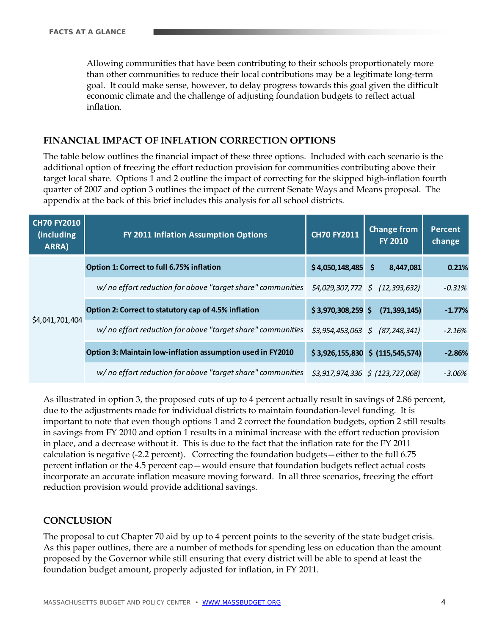Allowing communities that have been contributing to their schools proportionately more than other communities to reduce their local contributions may be a legitimate long-term goal. It could make sense, however, to delay progress towards this goal given the difficult economic climate and the challenge of adjusting foundation budgets to reflect actual inflation.

#### **FINANCIAL IMPACT OF INFLATION CORRECTION OPTIONS**

The table below outlines the financial impact of these three options. Included with each scenario is the additional option of freezing the effort reduction provision for communities contributing above their target local share. Options 1 and 2 outline the impact of correcting for the skipped high-inflation fourth quarter of 2007 and option 3 outlines the impact of the current Senate Ways and Means proposal. The appendix at the back of this brief includes this analysis for all school districts.

| <b>CH70 FY2010</b><br>(including)<br>ARRA) | FY 2011 Inflation Assumption Options                       | <b>CH70 FY2011</b>  | <b>Change from</b><br><b>FY 2010</b>  | <b>Percent</b><br>change |
|--------------------------------------------|------------------------------------------------------------|---------------------|---------------------------------------|--------------------------|
|                                            | Option 1: Correct to full 6.75% inflation                  | \$4,050,148,485     | \$<br>8,447,081                       | 0.21%                    |
|                                            | w/no effort reduction for above "target share" communities |                     | $$4,029,307,772 \ $ (12,393,632)$     | $-0.31%$                 |
|                                            | Option 2: Correct to statutory cap of 4.5% inflation       | $$3,970,308,259$ \$ | (71, 393, 145)                        | $-1.77%$                 |
| \$4,041,701,404                            | w/no effort reduction for above "target share" communities |                     | $$3,954,453,063 \quad $ ($7,248,341)$ | $-2.16%$                 |
|                                            | Option 3: Maintain low-inflation assumption used in FY2010 |                     | $$3,926,155,830 \$ (115,545,574)$     | $-2.86%$                 |
|                                            | w/no effort reduction for above "target share" communities |                     | $$3,917,974,336 \$ (123,727,068)$     | $-3.06%$                 |

As illustrated in option 3, the proposed cuts of up to 4 percent actually result in savings of 2.86 percent, due to the adjustments made for individual districts to maintain foundation-level funding. It is important to note that even though options 1 and 2 correct the foundation budgets, option 2 still results in savings from FY 2010 and option 1 results in a minimal increase with the effort reduction provision in place, and a decrease without it. This is due to the fact that the inflation rate for the FY 2011 calculation is negative (-2.2 percent). Correcting the foundation budgets—either to the full 6.75 percent inflation or the 4.5 percent cap—would ensure that foundation budgets reflect actual costs incorporate an accurate inflation measure moving forward. In all three scenarios, freezing the effort reduction provision would provide additional savings.

#### **CONCLUSION**

The proposal to cut Chapter 70 aid by up to 4 percent points to the severity of the state budget crisis. As this paper outlines, there are a number of methods for spending less on education than the amount proposed by the Governor while still ensuring that every district will be able to spend at least the foundation budget amount, properly adjusted for inflation, in FY 2011.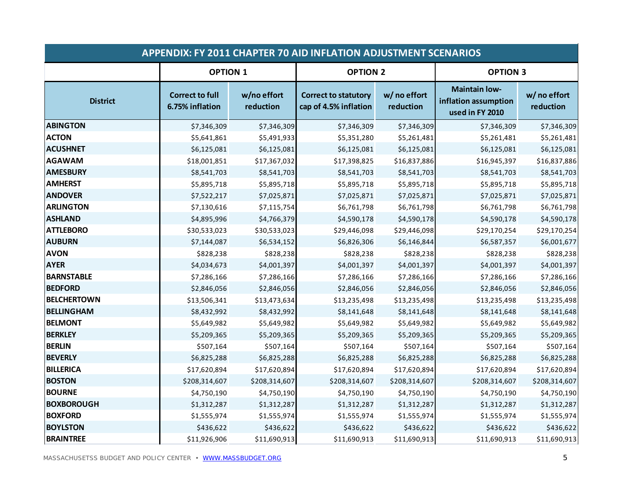|                    | <b>APPENDIX: FY 2011 CHAPTER 70 AID INFLATION ADJUSTMENT SCENARIOS</b> |                          |                                                      |                           |                                                                 |                           |  |
|--------------------|------------------------------------------------------------------------|--------------------------|------------------------------------------------------|---------------------------|-----------------------------------------------------------------|---------------------------|--|
|                    | <b>OPTION 1</b>                                                        |                          | <b>OPTION 2</b>                                      |                           | <b>OPTION 3</b>                                                 |                           |  |
| <b>District</b>    | <b>Correct to full</b><br>6.75% inflation                              | w/no effort<br>reduction | <b>Correct to statutory</b><br>cap of 4.5% inflation | w/ no effort<br>reduction | <b>Maintain low-</b><br>inflation assumption<br>used in FY 2010 | w/ no effort<br>reduction |  |
| <b>ABINGTON</b>    | \$7,346,309                                                            | \$7,346,309              | \$7,346,309                                          | \$7,346,309               | \$7,346,309                                                     | \$7,346,309               |  |
| <b>ACTON</b>       | \$5,641,861                                                            | \$5,491,933              | \$5,351,280                                          | \$5,261,481               | \$5,261,481                                                     | \$5,261,481               |  |
| <b>ACUSHNET</b>    | \$6,125,081                                                            | \$6,125,081              | \$6,125,081                                          | \$6,125,081               | \$6,125,081                                                     | \$6,125,081               |  |
| AGAWAM             | \$18,001,851                                                           | \$17,367,032             | \$17,398,825                                         | \$16,837,886              | \$16,945,397                                                    | \$16,837,886              |  |
| <b>AMESBURY</b>    | \$8,541,703                                                            | \$8,541,703              | \$8,541,703                                          | \$8,541,703               | \$8,541,703                                                     | \$8,541,703               |  |
| <b>AMHERST</b>     | \$5,895,718                                                            | \$5,895,718              | \$5,895,718                                          | \$5,895,718               | \$5,895,718                                                     | \$5,895,718               |  |
| <b>ANDOVER</b>     | \$7,522,217                                                            | \$7,025,871              | \$7,025,871                                          | \$7,025,871               | \$7,025,871                                                     | \$7,025,871               |  |
| <b>ARLINGTON</b>   | \$7,130,616                                                            | \$7,115,754              | \$6,761,798                                          | \$6,761,798               | \$6,761,798                                                     | \$6,761,798               |  |
| <b>ASHLAND</b>     | \$4,895,996                                                            | \$4,766,379              | \$4,590,178                                          | \$4,590,178               | \$4,590,178                                                     | \$4,590,178               |  |
| <b>ATTLEBORO</b>   | \$30,533,023                                                           | \$30,533,023             | \$29,446,098                                         | \$29,446,098              | \$29,170,254                                                    | \$29,170,254              |  |
| <b>AUBURN</b>      | \$7,144,087                                                            | \$6,534,152              | \$6,826,306                                          | \$6,146,844               | \$6,587,357                                                     | \$6,001,677               |  |
| <b>AVON</b>        | \$828,238                                                              | \$828,238                | \$828,238                                            | \$828,238                 | \$828,238                                                       | \$828,238                 |  |
| <b>AYER</b>        | \$4,034,673                                                            | \$4,001,397              | \$4,001,397                                          | \$4,001,397               | \$4,001,397                                                     | \$4,001,397               |  |
| <b>BARNSTABLE</b>  | \$7,286,166                                                            | \$7,286,166              | \$7,286,166                                          | \$7,286,166               | \$7,286,166                                                     | \$7,286,166               |  |
| <b>BEDFORD</b>     | \$2,846,056                                                            | \$2,846,056              | \$2,846,056                                          | \$2,846,056               | \$2,846,056                                                     | \$2,846,056               |  |
| <b>BELCHERTOWN</b> | \$13,506,341                                                           | \$13,473,634             | \$13,235,498                                         | \$13,235,498              | \$13,235,498                                                    | \$13,235,498              |  |
| <b>BELLINGHAM</b>  | \$8,432,992                                                            | \$8,432,992              | \$8,141,648                                          | \$8,141,648               | \$8,141,648                                                     | \$8,141,648               |  |
| <b>BELMONT</b>     | \$5,649,982                                                            | \$5,649,982              | \$5,649,982                                          | \$5,649,982               | \$5,649,982                                                     | \$5,649,982               |  |
| <b>BERKLEY</b>     | \$5,209,365                                                            | \$5,209,365              | \$5,209,365                                          | \$5,209,365               | \$5,209,365                                                     | \$5,209,365               |  |
| <b>BERLIN</b>      | \$507,164                                                              | \$507,164                | \$507,164                                            | \$507,164                 | \$507,164                                                       | \$507,164                 |  |
| <b>BEVERLY</b>     | \$6,825,288                                                            | \$6,825,288              | \$6,825,288                                          | \$6,825,288               | \$6,825,288                                                     | \$6,825,288               |  |
| <b>BILLERICA</b>   | \$17,620,894                                                           | \$17,620,894             | \$17,620,894                                         | \$17,620,894              | \$17,620,894                                                    | \$17,620,894              |  |
| <b>BOSTON</b>      | \$208,314,607                                                          | \$208,314,607            | \$208,314,607                                        | \$208,314,607             | \$208,314,607                                                   | \$208,314,607             |  |
| <b>BOURNE</b>      | \$4,750,190                                                            | \$4,750,190              | \$4,750,190                                          | \$4,750,190               | \$4,750,190                                                     | \$4,750,190               |  |
| <b>BOXBOROUGH</b>  | \$1,312,287                                                            | \$1,312,287              | \$1,312,287                                          | \$1,312,287               | \$1,312,287                                                     | \$1,312,287               |  |
| <b>BOXFORD</b>     | \$1,555,974                                                            | \$1,555,974              | \$1,555,974                                          | \$1,555,974               | \$1,555,974                                                     | \$1,555,974               |  |
| <b>BOYLSTON</b>    | \$436,622                                                              | \$436,622                | \$436,622                                            | \$436,622                 | \$436,622                                                       | \$436,622                 |  |
| <b>BRAINTREE</b>   | \$11,926,906                                                           | \$11,690,913             | \$11,690,913                                         | \$11,690,913              | \$11,690,913                                                    | \$11,690,913              |  |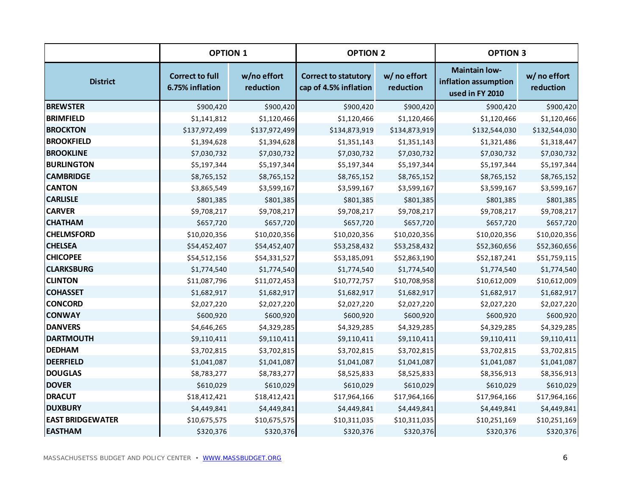|                         | <b>OPTION 1</b>                           |                          | <b>OPTION 2</b>                                      |                           | <b>OPTION 3</b>                                                 |                           |
|-------------------------|-------------------------------------------|--------------------------|------------------------------------------------------|---------------------------|-----------------------------------------------------------------|---------------------------|
| <b>District</b>         | <b>Correct to full</b><br>6.75% inflation | w/no effort<br>reduction | <b>Correct to statutory</b><br>cap of 4.5% inflation | w/ no effort<br>reduction | <b>Maintain low-</b><br>inflation assumption<br>used in FY 2010 | w/ no effort<br>reduction |
| <b>BREWSTER</b>         | \$900,420                                 | \$900,420                | \$900,420                                            | \$900,420                 | \$900,420                                                       | \$900,420                 |
| <b>BRIMFIELD</b>        | \$1,141,812                               | \$1,120,466              | \$1,120,466                                          | \$1,120,466               | \$1,120,466                                                     | \$1,120,466               |
| <b>BROCKTON</b>         | \$137,972,499                             | \$137,972,499            | \$134,873,919                                        | \$134,873,919             | \$132,544,030                                                   | \$132,544,030             |
| <b>BROOKFIELD</b>       | \$1,394,628                               | \$1,394,628              | \$1,351,143                                          | \$1,351,143               | \$1,321,486                                                     | \$1,318,447               |
| <b>BROOKLINE</b>        | \$7,030,732                               | \$7,030,732              | \$7,030,732                                          | \$7,030,732               | \$7,030,732                                                     | \$7,030,732               |
| <b>BURLINGTON</b>       | \$5,197,344                               | \$5,197,344              | \$5,197,344                                          | \$5,197,344               | \$5,197,344                                                     | \$5,197,344               |
| <b>CAMBRIDGE</b>        | \$8,765,152                               | \$8,765,152              | \$8,765,152                                          | \$8,765,152               | \$8,765,152                                                     | \$8,765,152               |
| <b>CANTON</b>           | \$3,865,549                               | \$3,599,167              | \$3,599,167                                          | \$3,599,167               | \$3,599,167                                                     | \$3,599,167               |
| <b>CARLISLE</b>         | \$801,385                                 | \$801,385                | \$801,385                                            | \$801,385                 | \$801,385                                                       | \$801,385                 |
| <b>CARVER</b>           | \$9,708,217                               | \$9,708,217              | \$9,708,217                                          | \$9,708,217               | \$9,708,217                                                     | \$9,708,217               |
| <b>CHATHAM</b>          | \$657,720                                 | \$657,720                | \$657,720                                            | \$657,720                 | \$657,720                                                       | \$657,720                 |
| <b>CHELMSFORD</b>       | \$10,020,356                              | \$10,020,356             | \$10,020,356                                         | \$10,020,356              | \$10,020,356                                                    | \$10,020,356              |
| <b>CHELSEA</b>          | \$54,452,407                              | \$54,452,407             | \$53,258,432                                         | \$53,258,432              | \$52,360,656                                                    | \$52,360,656              |
| <b>CHICOPEE</b>         | \$54,512,156                              | \$54,331,527             | \$53,185,091                                         | \$52,863,190              | \$52,187,241                                                    | \$51,759,115              |
| <b>CLARKSBURG</b>       | \$1,774,540                               | \$1,774,540              | \$1,774,540                                          | \$1,774,540               | \$1,774,540                                                     | \$1,774,540               |
| <b>CLINTON</b>          | \$11,087,796                              | \$11,072,453             | \$10,772,757                                         | \$10,708,958              | \$10,612,009                                                    | \$10,612,009              |
| <b>COHASSET</b>         | \$1,682,917                               | \$1,682,917              | \$1,682,917                                          | \$1,682,917               | \$1,682,917                                                     | \$1,682,917               |
| <b>CONCORD</b>          | \$2,027,220                               | \$2,027,220              | \$2,027,220                                          | \$2,027,220               | \$2,027,220                                                     | \$2,027,220               |
| <b>CONWAY</b>           | \$600,920                                 | \$600,920                | \$600,920                                            | \$600,920                 | \$600,920                                                       | \$600,920                 |
| <b>DANVERS</b>          | \$4,646,265                               | \$4,329,285              | \$4,329,285                                          | \$4,329,285               | \$4,329,285                                                     | \$4,329,285               |
| <b>DARTMOUTH</b>        | \$9,110,411                               | \$9,110,411              | \$9,110,411                                          | \$9,110,411               | \$9,110,411                                                     | \$9,110,411               |
| <b>DEDHAM</b>           | \$3,702,815                               | \$3,702,815              | \$3,702,815                                          | \$3,702,815               | \$3,702,815                                                     | \$3,702,815               |
| <b>DEERFIELD</b>        | \$1,041,087                               | \$1,041,087              | \$1,041,087                                          | \$1,041,087               | \$1,041,087                                                     | \$1,041,087               |
| <b>DOUGLAS</b>          | \$8,783,277                               | \$8,783,277              | \$8,525,833                                          | \$8,525,833               | \$8,356,913                                                     | \$8,356,913               |
| <b>DOVER</b>            | \$610,029                                 | \$610,029                | \$610,029                                            | \$610,029                 | \$610,029                                                       | \$610,029                 |
| <b>DRACUT</b>           | \$18,412,421                              | \$18,412,421             | \$17,964,166                                         | \$17,964,166              | \$17,964,166                                                    | \$17,964,166              |
| <b>DUXBURY</b>          | \$4,449,841                               | \$4,449,841              | \$4,449,841                                          | \$4,449,841               | \$4,449,841                                                     | \$4,449,841               |
| <b>EAST BRIDGEWATER</b> | \$10,675,575                              | \$10,675,575             | \$10,311,035                                         | \$10,311,035              | \$10,251,169                                                    | \$10,251,169              |
| <b>EASTHAM</b>          | \$320,376                                 | \$320,376                | \$320,376                                            | \$320,376                 | \$320,376                                                       | \$320,376                 |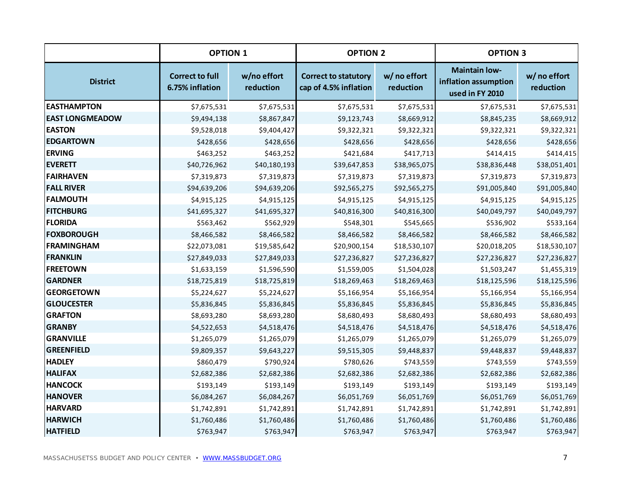|                        | <b>OPTION 1</b>                           |                          | <b>OPTION 2</b>                                      |                           | <b>OPTION 3</b>                                                 |                           |
|------------------------|-------------------------------------------|--------------------------|------------------------------------------------------|---------------------------|-----------------------------------------------------------------|---------------------------|
| <b>District</b>        | <b>Correct to full</b><br>6.75% inflation | w/no effort<br>reduction | <b>Correct to statutory</b><br>cap of 4.5% inflation | w/ no effort<br>reduction | <b>Maintain low-</b><br>inflation assumption<br>used in FY 2010 | w/ no effort<br>reduction |
| <b>EASTHAMPTON</b>     | \$7,675,531                               | \$7,675,531              | \$7,675,531                                          | \$7,675,531               | \$7,675,531                                                     | \$7,675,531               |
| <b>EAST LONGMEADOW</b> | \$9,494,138                               | \$8,867,847              | \$9,123,743                                          | \$8,669,912               | \$8,845,235                                                     | \$8,669,912               |
| <b>EASTON</b>          | \$9,528,018                               | \$9,404,427              | \$9,322,321                                          | \$9,322,321               | \$9,322,321                                                     | \$9,322,321               |
| <b>EDGARTOWN</b>       | \$428,656                                 | \$428,656                | \$428,656                                            | \$428,656                 | \$428,656                                                       | \$428,656                 |
| <b>ERVING</b>          | \$463,252                                 | \$463,252                | \$421,684                                            | \$417,713                 | \$414,415                                                       | \$414,415                 |
| <b>EVERETT</b>         | \$40,726,962                              | \$40,180,193             | \$39,647,853                                         | \$38,965,075              | \$38,836,448                                                    | \$38,051,401              |
| FAIRHAVEN              | \$7,319,873                               | \$7,319,873              | \$7,319,873                                          | \$7,319,873               | \$7,319,873                                                     | \$7,319,873               |
| <b>FALL RIVER</b>      | \$94,639,206                              | \$94,639,206             | \$92,565,275                                         | \$92,565,275              | \$91,005,840                                                    | \$91,005,840              |
| <b>FALMOUTH</b>        | \$4,915,125                               | \$4,915,125              | \$4,915,125                                          | \$4,915,125               | \$4,915,125                                                     | \$4,915,125               |
| <b>FITCHBURG</b>       | \$41,695,327                              | \$41,695,327             | \$40,816,300                                         | \$40,816,300              | \$40,049,797                                                    | \$40,049,797              |
| <b>FLORIDA</b>         | \$563,462                                 | \$562,929                | \$548,301                                            | \$545,665                 | \$536,902                                                       | \$533,164                 |
| <b>FOXBOROUGH</b>      | \$8,466,582                               | \$8,466,582              | \$8,466,582                                          | \$8,466,582               | \$8,466,582                                                     | \$8,466,582               |
| FRAMINGHAM             | \$22,073,081                              | \$19,585,642             | \$20,900,154                                         | \$18,530,107              | \$20,018,205                                                    | \$18,530,107              |
| <b>FRANKLIN</b>        | \$27,849,033                              | \$27,849,033             | \$27,236,827                                         | \$27,236,827              | \$27,236,827                                                    | \$27,236,827              |
| <b>FREETOWN</b>        | \$1,633,159                               | \$1,596,590              | \$1,559,005                                          | \$1,504,028               | \$1,503,247                                                     | \$1,455,319               |
| <b>GARDNER</b>         | \$18,725,819                              | \$18,725,819             | \$18,269,463                                         | \$18,269,463              | \$18,125,596                                                    | \$18,125,596              |
| <b>GEORGETOWN</b>      | \$5,224,627                               | \$5,224,627              | \$5,166,954                                          | \$5,166,954               | \$5,166,954                                                     | \$5,166,954               |
| <b>GLOUCESTER</b>      | \$5,836,845                               | \$5,836,845              | \$5,836,845                                          | \$5,836,845               | \$5,836,845                                                     | \$5,836,845               |
| <b>GRAFTON</b>         | \$8,693,280                               | \$8,693,280              | \$8,680,493                                          | \$8,680,493               | \$8,680,493                                                     | \$8,680,493               |
| <b>GRANBY</b>          | \$4,522,653                               | \$4,518,476              | \$4,518,476                                          | \$4,518,476               | \$4,518,476                                                     | \$4,518,476               |
| <b>GRANVILLE</b>       | \$1,265,079                               | \$1,265,079              | \$1,265,079                                          | \$1,265,079               | \$1,265,079                                                     | \$1,265,079               |
| <b>GREENFIELD</b>      | \$9,809,357                               | \$9,643,227              | \$9,515,305                                          | \$9,448,837               | \$9,448,837                                                     | \$9,448,837               |
| <b>HADLEY</b>          | \$860,479                                 | \$790,924                | \$780,626                                            | \$743,559                 | \$743,559                                                       | \$743,559                 |
| <b>HALIFAX</b>         | \$2,682,386                               | \$2,682,386              | \$2,682,386                                          | \$2,682,386               | \$2,682,386                                                     | \$2,682,386               |
| <b>HANCOCK</b>         | \$193,149                                 | \$193,149                | \$193,149                                            | \$193,149                 | \$193,149                                                       | \$193,149                 |
| <b>HANOVER</b>         | \$6,084,267                               | \$6,084,267              | \$6,051,769                                          | \$6,051,769               | \$6,051,769                                                     | \$6,051,769               |
| <b>HARVARD</b>         | \$1,742,891                               | \$1,742,891              | \$1,742,891                                          | \$1,742,891               | \$1,742,891                                                     | \$1,742,891               |
| <b>HARWICH</b>         | \$1,760,486                               | \$1,760,486              | \$1,760,486                                          | \$1,760,486               | \$1,760,486                                                     | \$1,760,486               |
| <b>HATFIELD</b>        | \$763,947                                 | \$763,947                | \$763,947                                            | \$763,947                 | \$763,947                                                       | \$763,947                 |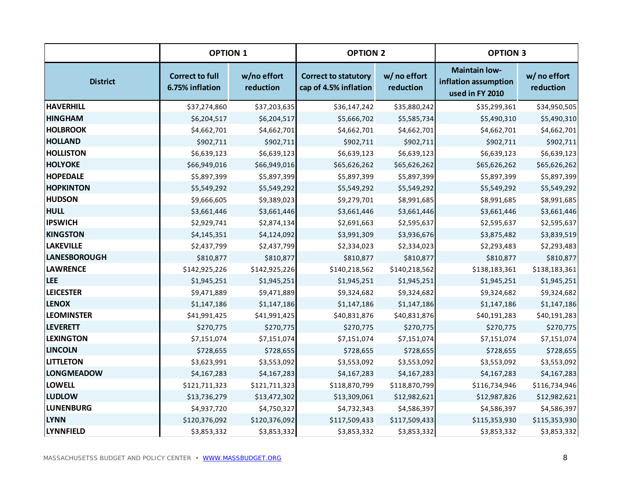|                     | <b>OPTION 1</b>                           |                          | <b>OPTION 2</b>                                      |                           | <b>OPTION 3</b>                                                 |                           |
|---------------------|-------------------------------------------|--------------------------|------------------------------------------------------|---------------------------|-----------------------------------------------------------------|---------------------------|
| <b>District</b>     | <b>Correct to full</b><br>6.75% inflation | w/no effort<br>reduction | <b>Correct to statutory</b><br>cap of 4.5% inflation | w/ no effort<br>reduction | <b>Maintain low-</b><br>inflation assumption<br>used in FY 2010 | w/ no effort<br>reduction |
| <b>HAVERHILL</b>    | \$37,274,860                              | \$37,203,635             | \$36,147,242                                         | \$35,880,242              | \$35,299,361                                                    | \$34,950,505              |
| <b>HINGHAM</b>      | \$6,204,517                               | \$6,204,517              | \$5,666,702                                          | \$5,585,734               | \$5,490,310                                                     | \$5,490,310               |
| <b>HOLBROOK</b>     | \$4,662,701                               | \$4,662,701              | \$4,662,701                                          | \$4,662,701               | \$4,662,701                                                     | \$4,662,701               |
| <b>HOLLAND</b>      | \$902,711                                 | \$902,711                | \$902,711                                            | \$902,711                 | \$902,711                                                       | \$902,711                 |
| <b>HOLLISTON</b>    | \$6,639,123                               | \$6,639,123              | \$6,639,123                                          | \$6,639,123               | \$6,639,123                                                     | \$6,639,123               |
| <b>HOLYOKE</b>      | \$66,949,016                              | \$66,949,016             | \$65,626,262                                         | \$65,626,262              | \$65,626,262                                                    | \$65,626,262              |
| <b>HOPEDALE</b>     | \$5,897,399                               | \$5,897,399              | \$5,897,399                                          | \$5,897,399               | \$5,897,399                                                     | \$5,897,399               |
| <b>HOPKINTON</b>    | \$5,549,292                               | \$5,549,292              | \$5,549,292                                          | \$5,549,292               | \$5,549,292                                                     | \$5,549,292               |
| <b>HUDSON</b>       | \$9,666,605                               | \$9,389,023              | \$9,279,701                                          | \$8,991,685               | \$8,991,685                                                     | \$8,991,685               |
| <b>HULL</b>         | \$3,661,446                               | \$3,661,446              | \$3,661,446                                          | \$3,661,446               | \$3,661,446                                                     | \$3,661,446               |
| <b>IPSWICH</b>      | \$2,929,741                               | \$2,874,134              | \$2,691,663                                          | \$2,595,637               | \$2,595,637                                                     | \$2,595,637               |
| <b>KINGSTON</b>     | \$4,145,351                               | \$4,124,092              | \$3,991,309                                          | \$3,936,676               | \$3,875,482                                                     | \$3,839,519               |
| <b>LAKEVILLE</b>    | \$2,437,799                               | \$2,437,799              | \$2,334,023                                          | \$2,334,023               | \$2,293,483                                                     | \$2,293,483               |
| <b>LANESBOROUGH</b> | \$810,877                                 | \$810,877                | \$810,877                                            | \$810,877                 | \$810,877                                                       | \$810,877                 |
| <b>LAWRENCE</b>     | \$142,925,226                             | \$142,925,226            | \$140,218,562                                        | \$140,218,562             | \$138,183,361                                                   | \$138,183,361             |
| <b>LEE</b>          | \$1,945,251                               | \$1,945,251              | \$1,945,251                                          | \$1,945,251               | \$1,945,251                                                     | \$1,945,251               |
| <b>LEICESTER</b>    | \$9,471,889                               | \$9,471,889              | \$9,324,682                                          | \$9,324,682               | \$9,324,682                                                     | \$9,324,682               |
| <b>LENOX</b>        | \$1,147,186                               | \$1,147,186              | \$1,147,186                                          | \$1,147,186               | \$1,147,186                                                     | \$1,147,186               |
| <b>LEOMINSTER</b>   | \$41,991,425                              | \$41,991,425             | \$40,831,876                                         | \$40,831,876              | \$40,191,283                                                    | \$40,191,283              |
| <b>LEVERETT</b>     | \$270,775                                 | \$270,775                | \$270,775                                            | \$270,775                 | \$270,775                                                       | \$270,775                 |
| <b>LEXINGTON</b>    | \$7,151,074                               | \$7,151,074              | \$7,151,074                                          | \$7,151,074               | \$7,151,074                                                     | \$7,151,074               |
| <b>LINCOLN</b>      | \$728,655                                 | \$728,655                | \$728,655                                            | \$728,655                 | \$728,655                                                       | \$728,655                 |
| <b>LITTLETON</b>    | \$3,623,991                               | \$3,553,092              | \$3,553,092                                          | \$3,553,092               | \$3,553,092                                                     | \$3,553,092               |
| <b>LONGMEADOW</b>   | \$4,167,283                               | \$4,167,283              | \$4,167,283                                          | \$4,167,283               | \$4,167,283                                                     | \$4,167,283               |
| <b>LOWELL</b>       | \$121,711,323                             | \$121,711,323            | \$118,870,799                                        | \$118,870,799             | \$116,734,946                                                   | \$116,734,946             |
| <b>LUDLOW</b>       | \$13,736,279                              | \$13,472,302             | \$13,309,061                                         | \$12,982,621              | \$12,987,826                                                    | \$12,982,621              |
| <b>LUNENBURG</b>    | \$4,937,720                               | \$4,750,327              | \$4,732,343                                          | \$4,586,397               | \$4,586,397                                                     | \$4,586,397               |
| <b>LYNN</b>         | \$120,376,092                             | \$120,376,092            | \$117,509,433                                        | \$117,509,433             | \$115,353,930                                                   | \$115,353,930             |
| <b>LYNNFIELD</b>    | \$3,853,332                               | \$3,853,332              | \$3,853,332                                          | \$3,853,332               | \$3,853,332                                                     | \$3,853,332               |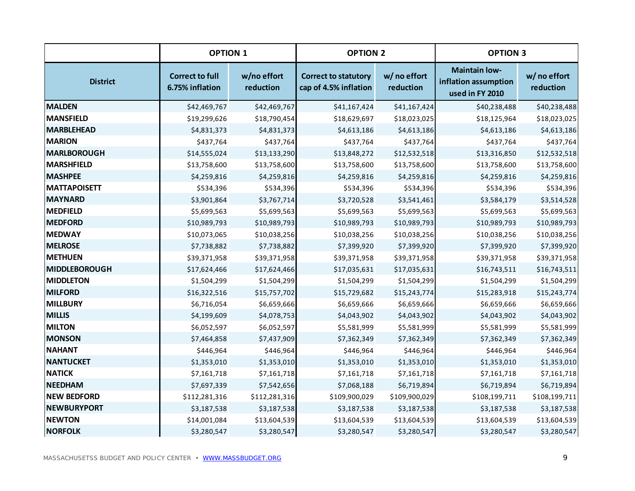|                      | <b>OPTION 1</b>                           |                          | <b>OPTION 2</b>                                      |                           | <b>OPTION 3</b>                                                 |                           |
|----------------------|-------------------------------------------|--------------------------|------------------------------------------------------|---------------------------|-----------------------------------------------------------------|---------------------------|
| <b>District</b>      | <b>Correct to full</b><br>6.75% inflation | w/no effort<br>reduction | <b>Correct to statutory</b><br>cap of 4.5% inflation | w/ no effort<br>reduction | <b>Maintain low-</b><br>inflation assumption<br>used in FY 2010 | w/ no effort<br>reduction |
| <b>MALDEN</b>        | \$42,469,767                              | \$42,469,767             | \$41,167,424                                         | \$41,167,424              | \$40,238,488                                                    | \$40,238,488              |
| MANSFIELD            | \$19,299,626                              | \$18,790,454             | \$18,629,697                                         | \$18,023,025              | \$18,125,964                                                    | \$18,023,025              |
| <b>MARBLEHEAD</b>    | \$4,831,373                               | \$4,831,373              | \$4,613,186                                          | \$4,613,186               | \$4,613,186                                                     | \$4,613,186               |
| <b>MARION</b>        | \$437,764                                 | \$437,764                | \$437,764                                            | \$437,764                 | \$437,764                                                       | \$437,764                 |
| MARLBOROUGH          | \$14,555,024                              | \$13,133,290             | \$13,848,272                                         | \$12,532,518              | \$13,316,850                                                    | \$12,532,518              |
| MARSHFIELD           | \$13,758,600                              | \$13,758,600             | \$13,758,600                                         | \$13,758,600              | \$13,758,600                                                    | \$13,758,600              |
| <b>MASHPEE</b>       | \$4,259,816                               | \$4,259,816              | \$4,259,816                                          | \$4,259,816               | \$4,259,816                                                     | \$4,259,816               |
| <b>MATTAPOISETT</b>  | \$534,396                                 | \$534,396                | \$534,396                                            | \$534,396                 | \$534,396                                                       | \$534,396                 |
| <b>MAYNARD</b>       | \$3,901,864                               | \$3,767,714              | \$3,720,528                                          | \$3,541,461               | \$3,584,179                                                     | \$3,514,528               |
| MEDFIELD             | \$5,699,563                               | \$5,699,563              | \$5,699,563                                          | \$5,699,563               | \$5,699,563                                                     | \$5,699,563               |
| <b>MEDFORD</b>       | \$10,989,793                              | \$10,989,793             | \$10,989,793                                         | \$10,989,793              | \$10,989,793                                                    | \$10,989,793              |
| <b>MEDWAY</b>        | \$10,073,065                              | \$10,038,256             | \$10,038,256                                         | \$10,038,256              | \$10,038,256                                                    | \$10,038,256              |
| <b>MELROSE</b>       | \$7,738,882                               | \$7,738,882              | \$7,399,920                                          | \$7,399,920               | \$7,399,920                                                     | \$7,399,920               |
| <b>METHUEN</b>       | \$39,371,958                              | \$39,371,958             | \$39,371,958                                         | \$39,371,958              | \$39,371,958                                                    | \$39,371,958              |
| <b>MIDDLEBOROUGH</b> | \$17,624,466                              | \$17,624,466             | \$17,035,631                                         | \$17,035,631              | \$16,743,511                                                    | \$16,743,511              |
| <b>MIDDLETON</b>     | \$1,504,299                               | \$1,504,299              | \$1,504,299                                          | \$1,504,299               | \$1,504,299                                                     | \$1,504,299               |
| <b>MILFORD</b>       | \$16,322,516                              | \$15,757,702             | \$15,729,682                                         | \$15,243,774              | \$15,283,918                                                    | \$15,243,774              |
| MILLBURY             | \$6,716,054                               | \$6,659,666              | \$6,659,666                                          | \$6,659,666               | \$6,659,666                                                     | \$6,659,666               |
| <b>MILLIS</b>        | \$4,199,609                               | \$4,078,753              | \$4,043,902                                          | \$4,043,902               | \$4,043,902                                                     | \$4,043,902               |
| <b>MILTON</b>        | \$6,052,597                               | \$6,052,597              | \$5,581,999                                          | \$5,581,999               | \$5,581,999                                                     | \$5,581,999               |
| <b>MONSON</b>        | \$7,464,858                               | \$7,437,909              | \$7,362,349                                          | \$7,362,349               | \$7,362,349                                                     | \$7,362,349               |
| <b>NAHANT</b>        | \$446,964                                 | \$446,964                | \$446,964                                            | \$446,964                 | \$446,964                                                       | \$446,964                 |
| <b>NANTUCKET</b>     | \$1,353,010                               | \$1,353,010              | \$1,353,010                                          | \$1,353,010               | \$1,353,010                                                     | \$1,353,010               |
| <b>NATICK</b>        | \$7,161,718                               | \$7,161,718              | \$7,161,718                                          | \$7,161,718               | \$7,161,718                                                     | \$7,161,718               |
| <b>NEEDHAM</b>       | \$7,697,339                               | \$7,542,656              | \$7,068,188                                          | \$6,719,894               | \$6,719,894                                                     | \$6,719,894               |
| <b>NEW BEDFORD</b>   | \$112,281,316                             | \$112,281,316            | \$109,900,029                                        | \$109,900,029             | \$108,199,711                                                   | \$108,199,711             |
| <b>NEWBURYPORT</b>   | \$3,187,538                               | \$3,187,538              | \$3,187,538                                          | \$3,187,538               | \$3,187,538                                                     | \$3,187,538               |
| <b>NEWTON</b>        | \$14,001,084                              | \$13,604,539             | \$13,604,539                                         | \$13,604,539              | \$13,604,539                                                    | \$13,604,539              |
| <b>NORFOLK</b>       | \$3,280,547                               | \$3,280,547              | \$3,280,547                                          | \$3,280,547               | \$3,280,547                                                     | \$3,280,547               |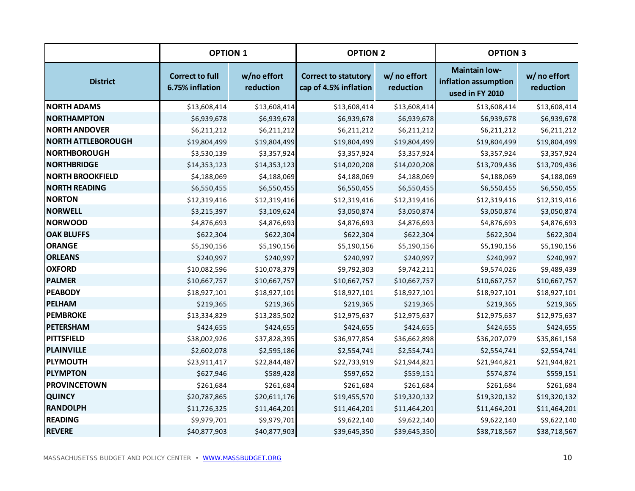|                           | <b>OPTION 1</b>                           |                          | <b>OPTION 2</b>                                      |                           | <b>OPTION 3</b>                                                 |                           |
|---------------------------|-------------------------------------------|--------------------------|------------------------------------------------------|---------------------------|-----------------------------------------------------------------|---------------------------|
| <b>District</b>           | <b>Correct to full</b><br>6.75% inflation | w/no effort<br>reduction | <b>Correct to statutory</b><br>cap of 4.5% inflation | w/ no effort<br>reduction | <b>Maintain low-</b><br>inflation assumption<br>used in FY 2010 | w/ no effort<br>reduction |
| <b>NORTH ADAMS</b>        | \$13,608,414                              | \$13,608,414             | \$13,608,414                                         | \$13,608,414              | \$13,608,414                                                    | \$13,608,414              |
| <b>NORTHAMPTON</b>        | \$6,939,678                               | \$6,939,678              | \$6,939,678                                          | \$6,939,678               | \$6,939,678                                                     | \$6,939,678               |
| <b>NORTH ANDOVER</b>      | \$6,211,212                               | \$6,211,212              | \$6,211,212                                          | \$6,211,212               | \$6,211,212                                                     | \$6,211,212               |
| <b>NORTH ATTLEBOROUGH</b> | \$19,804,499                              | \$19,804,499             | \$19,804,499                                         | \$19,804,499              | \$19,804,499                                                    | \$19,804,499              |
| <b>NORTHBOROUGH</b>       | \$3,530,139                               | \$3,357,924              | \$3,357,924                                          | \$3,357,924               | \$3,357,924                                                     | \$3,357,924               |
| <b>NORTHBRIDGE</b>        | \$14,353,123                              | \$14,353,123             | \$14,020,208                                         | \$14,020,208              | \$13,709,436                                                    | \$13,709,436              |
| <b>NORTH BROOKFIELD</b>   | \$4,188,069                               | \$4,188,069              | \$4,188,069                                          | \$4,188,069               | \$4,188,069                                                     | \$4,188,069               |
| <b>NORTH READING</b>      | \$6,550,455                               | \$6,550,455              | \$6,550,455                                          | \$6,550,455               | \$6,550,455                                                     | \$6,550,455               |
| <b>NORTON</b>             | \$12,319,416                              | \$12,319,416             | \$12,319,416                                         | \$12,319,416              | \$12,319,416                                                    | \$12,319,416              |
| <b>NORWELL</b>            | \$3,215,397                               | \$3,109,624              | \$3,050,874                                          | \$3,050,874               | \$3,050,874                                                     | \$3,050,874               |
| <b>NORWOOD</b>            | \$4,876,693                               | \$4,876,693              | \$4,876,693                                          | \$4,876,693               | \$4,876,693                                                     | \$4,876,693               |
| <b>OAK BLUFFS</b>         | \$622,304                                 | \$622,304                | \$622,304                                            | \$622,304                 | \$622,304                                                       | \$622,304                 |
| <b>ORANGE</b>             | \$5,190,156                               | \$5,190,156              | \$5,190,156                                          | \$5,190,156               | \$5,190,156                                                     | \$5,190,156               |
| <b>ORLEANS</b>            | \$240,997                                 | \$240,997                | \$240,997                                            | \$240,997                 | \$240,997                                                       | \$240,997                 |
| <b>OXFORD</b>             | \$10,082,596                              | \$10,078,379             | \$9,792,303                                          | \$9,742,211               | \$9,574,026                                                     | \$9,489,439               |
| <b>PALMER</b>             | \$10,667,757                              | \$10,667,757             | \$10,667,757                                         | \$10,667,757              | \$10,667,757                                                    | \$10,667,757              |
| <b>PEABODY</b>            | \$18,927,101                              | \$18,927,101             | \$18,927,101                                         | \$18,927,101              | \$18,927,101                                                    | \$18,927,101              |
| PELHAM                    | \$219,365                                 | \$219,365                | \$219,365                                            | \$219,365                 | \$219,365                                                       | \$219,365                 |
| <b>PEMBROKE</b>           | \$13,334,829                              | \$13,285,502             | \$12,975,637                                         | \$12,975,637              | \$12,975,637                                                    | \$12,975,637              |
| <b>PETERSHAM</b>          | \$424,655                                 | \$424,655                | \$424,655                                            | \$424,655                 | \$424,655                                                       | \$424,655                 |
| PITTSFIELD                | \$38,002,926                              | \$37,828,395             | \$36,977,854                                         | \$36,662,898              | \$36,207,079                                                    | \$35,861,158              |
| PLAINVILLE                | \$2,602,078                               | \$2,595,186              | \$2,554,741                                          | \$2,554,741               | \$2,554,741                                                     | \$2,554,741               |
| PLYMOUTH                  | \$23,911,417                              | \$22,844,487             | \$22,733,919                                         | \$21,944,821              | \$21,944,821                                                    | \$21,944,821              |
| <b>PLYMPTON</b>           | \$627,946                                 | \$589,428                | \$597,652                                            | \$559,151                 | \$574,874                                                       | \$559,151                 |
| <b>PROVINCETOWN</b>       | \$261,684                                 | \$261,684                | \$261,684                                            | \$261,684                 | \$261,684                                                       | \$261,684                 |
| <b>QUINCY</b>             | \$20,787,865                              | \$20,611,176             | \$19,455,570                                         | \$19,320,132              | \$19,320,132                                                    | \$19,320,132              |
| <b>RANDOLPH</b>           | \$11,726,325                              | \$11,464,201             | \$11,464,201                                         | \$11,464,201              | \$11,464,201                                                    | \$11,464,201              |
| <b>READING</b>            | \$9,979,701                               | \$9,979,701              | \$9,622,140                                          | \$9,622,140               | \$9,622,140                                                     | \$9,622,140               |
| <b>REVERE</b>             | \$40,877,903                              | \$40,877,903             | \$39,645,350                                         | \$39,645,350              | \$38,718,567                                                    | \$38,718,567              |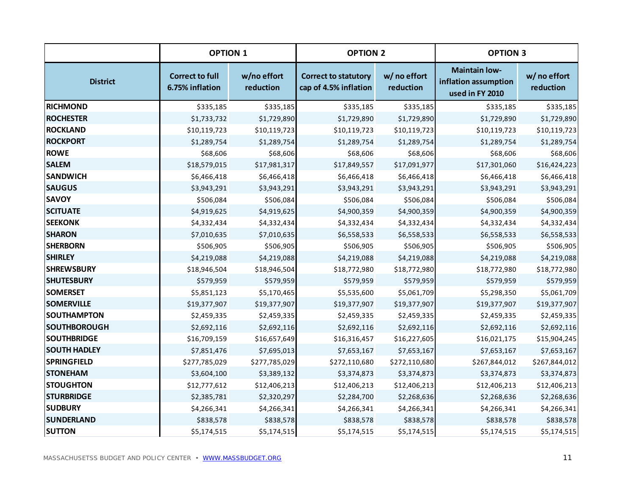|                     | <b>OPTION 1</b>                           |                          | <b>OPTION 2</b>                                      |                           | <b>OPTION 3</b>                                                 |                           |
|---------------------|-------------------------------------------|--------------------------|------------------------------------------------------|---------------------------|-----------------------------------------------------------------|---------------------------|
| <b>District</b>     | <b>Correct to full</b><br>6.75% inflation | w/no effort<br>reduction | <b>Correct to statutory</b><br>cap of 4.5% inflation | w/ no effort<br>reduction | <b>Maintain low-</b><br>inflation assumption<br>used in FY 2010 | w/ no effort<br>reduction |
| <b>RICHMOND</b>     | \$335,185                                 | \$335,185                | \$335,185                                            | \$335,185                 | \$335,185                                                       | \$335,185                 |
| <b>ROCHESTER</b>    | \$1,733,732                               | \$1,729,890              | \$1,729,890                                          | \$1,729,890               | \$1,729,890                                                     | \$1,729,890               |
| <b>ROCKLAND</b>     | \$10,119,723                              | \$10,119,723             | \$10,119,723                                         | \$10,119,723              | \$10,119,723                                                    | \$10,119,723              |
| <b>ROCKPORT</b>     | \$1,289,754                               | \$1,289,754              | \$1,289,754                                          | \$1,289,754               | \$1,289,754                                                     | \$1,289,754               |
| <b>ROWE</b>         | \$68,606                                  | \$68,606                 | \$68,606                                             | \$68,606                  | \$68,606                                                        | \$68,606                  |
| <b>SALEM</b>        | \$18,579,015                              | \$17,981,317             | \$17,849,557                                         | \$17,091,977              | \$17,301,060                                                    | \$16,424,223              |
| <b>SANDWICH</b>     | \$6,466,418                               | \$6,466,418              | \$6,466,418                                          | \$6,466,418               | \$6,466,418                                                     | \$6,466,418               |
| <b>SAUGUS</b>       | \$3,943,291                               | \$3,943,291              | \$3,943,291                                          | \$3,943,291               | \$3,943,291                                                     | \$3,943,291               |
| <b>SAVOY</b>        | \$506,084                                 | \$506,084                | \$506,084                                            | \$506,084                 | \$506,084                                                       | \$506,084                 |
| <b>SCITUATE</b>     | \$4,919,625                               | \$4,919,625              | \$4,900,359                                          | \$4,900,359               | \$4,900,359                                                     | \$4,900,359               |
| <b>SEEKONK</b>      | \$4,332,434                               | \$4,332,434              | \$4,332,434                                          | \$4,332,434               | \$4,332,434                                                     | \$4,332,434               |
| <b>SHARON</b>       | \$7,010,635                               | \$7,010,635              | \$6,558,533                                          | \$6,558,533               | \$6,558,533                                                     | \$6,558,533               |
| <b>SHERBORN</b>     | \$506,905                                 | \$506,905                | \$506,905                                            | \$506,905                 | \$506,905                                                       | \$506,905                 |
| <b>SHIRLEY</b>      | \$4,219,088                               | \$4,219,088              | \$4,219,088                                          | \$4,219,088               | \$4,219,088                                                     | \$4,219,088               |
| <b>SHREWSBURY</b>   | \$18,946,504                              | \$18,946,504             | \$18,772,980                                         | \$18,772,980              | \$18,772,980                                                    | \$18,772,980              |
| <b>SHUTESBURY</b>   | \$579,959                                 | \$579,959                | \$579,959                                            | \$579,959                 | \$579,959                                                       | \$579,959                 |
| <b>SOMERSET</b>     | \$5,851,123                               | \$5,170,465              | \$5,535,600                                          | \$5,061,709               | \$5,298,350                                                     | \$5,061,709               |
| <b>SOMERVILLE</b>   | \$19,377,907                              | \$19,377,907             | \$19,377,907                                         | \$19,377,907              | \$19,377,907                                                    | \$19,377,907              |
| <b>SOUTHAMPTON</b>  | \$2,459,335                               | \$2,459,335              | \$2,459,335                                          | \$2,459,335               | \$2,459,335                                                     | \$2,459,335               |
| <b>SOUTHBOROUGH</b> | \$2,692,116                               | \$2,692,116              | \$2,692,116                                          | \$2,692,116               | \$2,692,116                                                     | \$2,692,116               |
| <b>SOUTHBRIDGE</b>  | \$16,709,159                              | \$16,657,649             | \$16,316,457                                         | \$16,227,605              | \$16,021,175                                                    | \$15,904,245              |
| <b>SOUTH HADLEY</b> | \$7,851,476                               | \$7,695,013              | \$7,653,167                                          | \$7,653,167               | \$7,653,167                                                     | \$7,653,167               |
| <b>SPRINGFIELD</b>  | \$277,785,029                             | \$277,785,029            | \$272,110,680                                        | \$272,110,680             | \$267,844,012                                                   | \$267,844,012             |
| <b>STONEHAM</b>     | \$3,604,100                               | \$3,389,132              | \$3,374,873                                          | \$3,374,873               | \$3,374,873                                                     | \$3,374,873               |
| <b>STOUGHTON</b>    | \$12,777,612                              | \$12,406,213             | \$12,406,213                                         | \$12,406,213              | \$12,406,213                                                    | \$12,406,213              |
| <b>STURBRIDGE</b>   | \$2,385,781                               | \$2,320,297              | \$2,284,700                                          | \$2,268,636               | \$2,268,636                                                     | \$2,268,636               |
| <b>SUDBURY</b>      | \$4,266,341                               | \$4,266,341              | \$4,266,341                                          | \$4,266,341               | \$4,266,341                                                     | \$4,266,341               |
| <b>SUNDERLAND</b>   | \$838,578                                 | \$838,578                | \$838,578                                            | \$838,578                 | \$838,578                                                       | \$838,578                 |
| <b>SUTTON</b>       | \$5,174,515                               | \$5,174,515              | \$5,174,515                                          | \$5,174,515               | \$5,174,515                                                     | \$5,174,515               |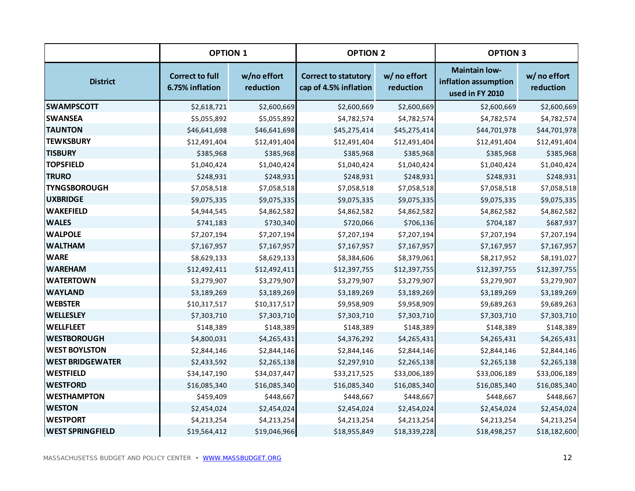|                         | <b>OPTION 1</b>                           |                          | <b>OPTION 2</b>                                      |                           | <b>OPTION 3</b>                                                 |                           |
|-------------------------|-------------------------------------------|--------------------------|------------------------------------------------------|---------------------------|-----------------------------------------------------------------|---------------------------|
| <b>District</b>         | <b>Correct to full</b><br>6.75% inflation | w/no effort<br>reduction | <b>Correct to statutory</b><br>cap of 4.5% inflation | w/ no effort<br>reduction | <b>Maintain low-</b><br>inflation assumption<br>used in FY 2010 | w/ no effort<br>reduction |
| <b>SWAMPSCOTT</b>       | \$2,618,721                               | \$2,600,669              | \$2,600,669                                          | \$2,600,669               | \$2,600,669                                                     | \$2,600,669               |
| <b>SWANSEA</b>          | \$5,055,892                               | \$5,055,892              | \$4,782,574                                          | \$4,782,574               | \$4,782,574                                                     | \$4,782,574               |
| <b>TAUNTON</b>          | \$46,641,698                              | \$46,641,698             | \$45,275,414                                         | \$45,275,414              | \$44,701,978                                                    | \$44,701,978              |
| <b>TEWKSBURY</b>        | \$12,491,404                              | \$12,491,404             | \$12,491,404                                         | \$12,491,404              | \$12,491,404                                                    | \$12,491,404              |
| <b>TISBURY</b>          | \$385,968                                 | \$385,968                | \$385,968                                            | \$385,968                 | \$385,968                                                       | \$385,968                 |
| <b>TOPSFIELD</b>        | \$1,040,424                               | \$1,040,424              | \$1,040,424                                          | \$1,040,424               | \$1,040,424                                                     | \$1,040,424               |
| <b>TRURO</b>            | \$248,931                                 | \$248,931                | \$248,931                                            | \$248,931                 | \$248,931                                                       | \$248,931                 |
| <b>TYNGSBOROUGH</b>     | \$7,058,518                               | \$7,058,518              | \$7,058,518                                          | \$7,058,518               | \$7,058,518                                                     | \$7,058,518               |
| <b>UXBRIDGE</b>         | \$9,075,335                               | \$9,075,335              | \$9,075,335                                          | \$9,075,335               | \$9,075,335                                                     | \$9,075,335               |
| <b>WAKEFIELD</b>        | \$4,944,545                               | \$4,862,582              | \$4,862,582                                          | \$4,862,582               | \$4,862,582                                                     | \$4,862,582               |
| <b>WALES</b>            | \$741,183                                 | \$730,340                | \$720,066                                            | \$706,136                 | \$704,187                                                       | \$687,937                 |
| <b>WALPOLE</b>          | \$7,207,194                               | \$7,207,194              | \$7,207,194                                          | \$7,207,194               | \$7,207,194                                                     | \$7,207,194               |
| <b>WALTHAM</b>          | \$7,167,957                               | \$7,167,957              | \$7,167,957                                          | \$7,167,957               | \$7,167,957                                                     | \$7,167,957               |
| <b>WARE</b>             | \$8,629,133                               | \$8,629,133              | \$8,384,606                                          | \$8,379,061               | \$8,217,952                                                     | \$8,191,027               |
| <b>WAREHAM</b>          | \$12,492,411                              | \$12,492,411             | \$12,397,755                                         | \$12,397,755              | \$12,397,755                                                    | \$12,397,755              |
| <b>WATERTOWN</b>        | \$3,279,907                               | \$3,279,907              | \$3,279,907                                          | \$3,279,907               | \$3,279,907                                                     | \$3,279,907               |
| <b>WAYLAND</b>          | \$3,189,269                               | \$3,189,269              | \$3,189,269                                          | \$3,189,269               | \$3,189,269                                                     | \$3,189,269               |
| <b>WEBSTER</b>          | \$10,317,517                              | \$10,317,517             | \$9,958,909                                          | \$9,958,909               | \$9,689,263                                                     | \$9,689,263               |
| <b>WELLESLEY</b>        | \$7,303,710                               | \$7,303,710              | \$7,303,710                                          | \$7,303,710               | \$7,303,710                                                     | \$7,303,710               |
| <b>WELLFLEET</b>        | \$148,389                                 | \$148,389                | \$148,389                                            | \$148,389                 | \$148,389                                                       | \$148,389                 |
| <b>WESTBOROUGH</b>      | \$4,800,031                               | \$4,265,431              | \$4,376,292                                          | \$4,265,431               | \$4,265,431                                                     | \$4,265,431               |
| <b>WEST BOYLSTON</b>    | \$2,844,146                               | \$2,844,146              | \$2,844,146                                          | \$2,844,146               | \$2,844,146                                                     | \$2,844,146               |
| <b>WEST BRIDGEWATER</b> | \$2,433,592                               | \$2,265,138              | \$2,297,910                                          | \$2,265,138               | \$2,265,138                                                     | \$2,265,138               |
| <b>WESTFIELD</b>        | \$34,147,190                              | \$34,037,447             | \$33,217,525                                         | \$33,006,189              | \$33,006,189                                                    | \$33,006,189              |
| <b>WESTFORD</b>         | \$16,085,340                              | \$16,085,340             | \$16,085,340                                         | \$16,085,340              | \$16,085,340                                                    | \$16,085,340              |
| <b>WESTHAMPTON</b>      | \$459,409                                 | \$448,667                | \$448,667                                            | \$448,667                 | \$448,667                                                       | \$448,667                 |
| <b>WESTON</b>           | \$2,454,024                               | \$2,454,024              | \$2,454,024                                          | \$2,454,024               | \$2,454,024                                                     | \$2,454,024               |
| <b>WESTPORT</b>         | \$4,213,254                               | \$4,213,254              | \$4,213,254                                          | \$4,213,254               | \$4,213,254                                                     | \$4,213,254               |
| <b>WEST SPRINGFIELD</b> | \$19,564,412                              | \$19,046,966             | \$18,955,849                                         | \$18,339,228              | \$18,498,257                                                    | \$18,182,600              |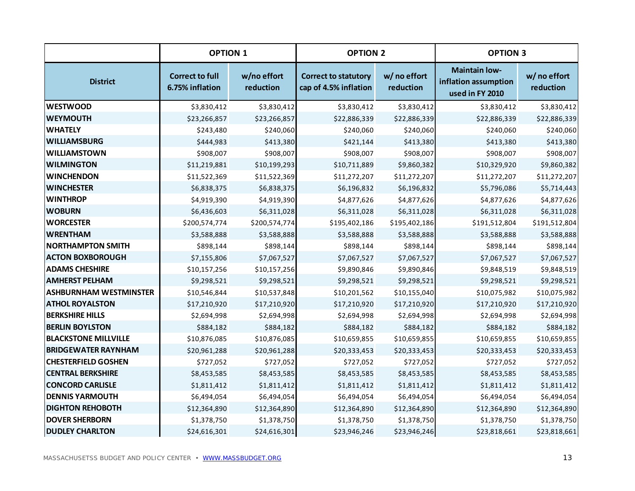|                               | <b>OPTION 1</b>                           |                          | <b>OPTION 2</b>                                      |                           | <b>OPTION 3</b>                                                 |                           |
|-------------------------------|-------------------------------------------|--------------------------|------------------------------------------------------|---------------------------|-----------------------------------------------------------------|---------------------------|
| <b>District</b>               | <b>Correct to full</b><br>6.75% inflation | w/no effort<br>reduction | <b>Correct to statutory</b><br>cap of 4.5% inflation | w/ no effort<br>reduction | <b>Maintain low-</b><br>inflation assumption<br>used in FY 2010 | w/ no effort<br>reduction |
| <b>WESTWOOD</b>               | \$3,830,412                               | \$3,830,412              | \$3,830,412                                          | \$3,830,412               | \$3,830,412                                                     | \$3,830,412               |
| <b>WEYMOUTH</b>               | \$23,266,857                              | \$23,266,857             | \$22,886,339                                         | \$22,886,339              | \$22,886,339                                                    | \$22,886,339              |
| <b>WHATELY</b>                | \$243,480                                 | \$240,060                | \$240,060                                            | \$240,060                 | \$240,060                                                       | \$240,060                 |
| <b>WILLIAMSBURG</b>           | \$444,983                                 | \$413,380                | \$421,144                                            | \$413,380                 | \$413,380                                                       | \$413,380                 |
| <b>WILLIAMSTOWN</b>           | \$908,007                                 | \$908,007                | \$908,007                                            | \$908,007                 | \$908,007                                                       | \$908,007                 |
| <b>WILMINGTON</b>             | \$11,219,881                              | \$10,199,293             | \$10,711,889                                         | \$9,860,382               | \$10,329,920                                                    | \$9,860,382               |
| <b>WINCHENDON</b>             | \$11,522,369                              | \$11,522,369             | \$11,272,207                                         | \$11,272,207              | \$11,272,207                                                    | \$11,272,207              |
| <b>WINCHESTER</b>             | \$6,838,375                               | \$6,838,375              | \$6,196,832                                          | \$6,196,832               | \$5,796,086                                                     | \$5,714,443               |
| <b>WINTHROP</b>               | \$4,919,390                               | \$4,919,390              | \$4,877,626                                          | \$4,877,626               | \$4,877,626                                                     | \$4,877,626               |
| <b>WOBURN</b>                 | \$6,436,603                               | \$6,311,028              | \$6,311,028                                          | \$6,311,028               | \$6,311,028                                                     | \$6,311,028               |
| <b>WORCESTER</b>              | \$200,574,774                             | \$200,574,774            | \$195,402,186                                        | \$195,402,186             | \$191,512,804                                                   | \$191,512,804             |
| <b>WRENTHAM</b>               | \$3,588,888                               | \$3,588,888              | \$3,588,888                                          | \$3,588,888               | \$3,588,888                                                     | \$3,588,888               |
| <b>NORTHAMPTON SMITH</b>      | \$898,144                                 | \$898,144                | \$898,144                                            | \$898,144                 | \$898,144                                                       | \$898,144                 |
| <b>ACTON BOXBOROUGH</b>       | \$7,155,806                               | \$7,067,527              | \$7,067,527                                          | \$7,067,527               | \$7,067,527                                                     | \$7,067,527               |
| <b>ADAMS CHESHIRE</b>         | \$10,157,256                              | \$10,157,256             | \$9,890,846                                          | \$9,890,846               | \$9,848,519                                                     | \$9,848,519               |
| <b>AMHERST PELHAM</b>         | \$9,298,521                               | \$9,298,521              | \$9,298,521                                          | \$9,298,521               | \$9,298,521                                                     | \$9,298,521               |
| <b>ASHBURNHAM WESTMINSTER</b> | \$10,546,844                              | \$10,537,848             | \$10,201,562                                         | \$10,155,040              | \$10,075,982                                                    | \$10,075,982              |
| <b>ATHOL ROYALSTON</b>        | \$17,210,920                              | \$17,210,920             | \$17,210,920                                         | \$17,210,920              | \$17,210,920                                                    | \$17,210,920              |
| <b>BERKSHIRE HILLS</b>        | \$2,694,998                               | \$2,694,998              | \$2,694,998                                          | \$2,694,998               | \$2,694,998                                                     | \$2,694,998               |
| <b>BERLIN BOYLSTON</b>        | \$884,182                                 | \$884,182                | \$884,182                                            | \$884,182                 | \$884,182                                                       | \$884,182                 |
| <b>BLACKSTONE MILLVILLE</b>   | \$10,876,085                              | \$10,876,085             | \$10,659,855                                         | \$10,659,855              | \$10,659,855                                                    | \$10,659,855              |
| <b>BRIDGEWATER RAYNHAM</b>    | \$20,961,288                              | \$20,961,288             | \$20,333,453                                         | \$20,333,453              | \$20,333,453                                                    | \$20,333,453              |
| <b>CHESTERFIELD GOSHEN</b>    | \$727,052                                 | \$727,052                | \$727,052                                            | \$727,052                 | \$727,052                                                       | \$727,052                 |
| <b>CENTRAL BERKSHIRE</b>      | \$8,453,585                               | \$8,453,585              | \$8,453,585                                          | \$8,453,585               | \$8,453,585                                                     | \$8,453,585               |
| <b>CONCORD CARLISLE</b>       | \$1,811,412                               | \$1,811,412              | \$1,811,412                                          | \$1,811,412               | \$1,811,412                                                     | \$1,811,412               |
| <b>DENNIS YARMOUTH</b>        | \$6,494,054                               | \$6,494,054              | \$6,494,054                                          | \$6,494,054               | \$6,494,054                                                     | \$6,494,054               |
| <b>DIGHTON REHOBOTH</b>       | \$12,364,890                              | \$12,364,890             | \$12,364,890                                         | \$12,364,890              | \$12,364,890                                                    | \$12,364,890              |
| <b>DOVER SHERBORN</b>         | \$1,378,750                               | \$1,378,750              | \$1,378,750                                          | \$1,378,750               | \$1,378,750                                                     | \$1,378,750               |
| <b>DUDLEY CHARLTON</b>        | \$24,616,301                              | \$24,616,301             | \$23,946,246                                         | \$23,946,246              | \$23,818,661                                                    | \$23,818,661              |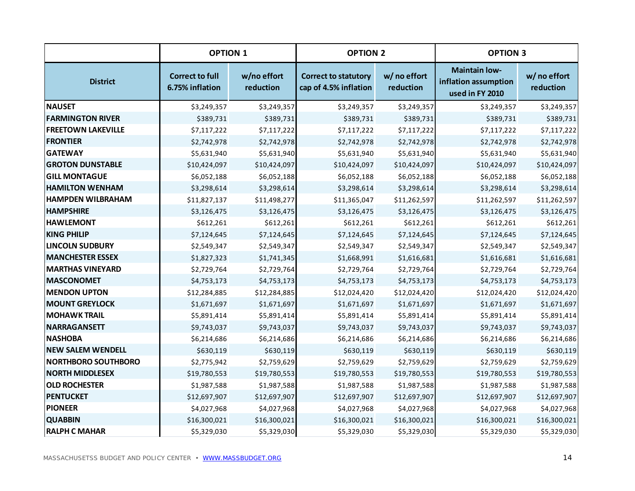|                            | <b>OPTION 1</b>                           |                          | <b>OPTION 2</b>                                      |                           | <b>OPTION 3</b>                                                 |                           |
|----------------------------|-------------------------------------------|--------------------------|------------------------------------------------------|---------------------------|-----------------------------------------------------------------|---------------------------|
| <b>District</b>            | <b>Correct to full</b><br>6.75% inflation | w/no effort<br>reduction | <b>Correct to statutory</b><br>cap of 4.5% inflation | w/ no effort<br>reduction | <b>Maintain low-</b><br>inflation assumption<br>used in FY 2010 | w/ no effort<br>reduction |
| <b>NAUSET</b>              | \$3,249,357                               | \$3,249,357              | \$3,249,357                                          | \$3,249,357               | \$3,249,357                                                     | \$3,249,357               |
| <b>FARMINGTON RIVER</b>    | \$389,731                                 | \$389,731                | \$389,731                                            | \$389,731                 | \$389,731                                                       | \$389,731                 |
| <b>FREETOWN LAKEVILLE</b>  | \$7,117,222                               | \$7,117,222              | \$7,117,222                                          | \$7,117,222               | \$7,117,222                                                     | \$7,117,222               |
| <b>FRONTIER</b>            | \$2,742,978                               | \$2,742,978              | \$2,742,978                                          | \$2,742,978               | \$2,742,978                                                     | \$2,742,978               |
| <b>GATEWAY</b>             | \$5,631,940                               | \$5,631,940              | \$5,631,940                                          | \$5,631,940               | \$5,631,940                                                     | \$5,631,940               |
| <b>GROTON DUNSTABLE</b>    | \$10,424,097                              | \$10,424,097             | \$10,424,097                                         | \$10,424,097              | \$10,424,097                                                    | \$10,424,097              |
| <b>GILL MONTAGUE</b>       | \$6,052,188                               | \$6,052,188              | \$6,052,188                                          | \$6,052,188               | \$6,052,188                                                     | \$6,052,188               |
| <b>HAMILTON WENHAM</b>     | \$3,298,614                               | \$3,298,614              | \$3,298,614                                          | \$3,298,614               | \$3,298,614                                                     | \$3,298,614               |
| <b>HAMPDEN WILBRAHAM</b>   | \$11,827,137                              | \$11,498,277             | \$11,365,047                                         | \$11,262,597              | \$11,262,597                                                    | \$11,262,597              |
| <b>HAMPSHIRE</b>           | \$3,126,475                               | \$3,126,475              | \$3,126,475                                          | \$3,126,475               | \$3,126,475                                                     | \$3,126,475               |
| <b>HAWLEMONT</b>           | \$612,261                                 | \$612,261                | \$612,261                                            | \$612,261                 | \$612,261                                                       | \$612,261                 |
| <b>KING PHILIP</b>         | \$7,124,645                               | \$7,124,645              | \$7,124,645                                          | \$7,124,645               | \$7,124,645                                                     | \$7,124,645               |
| <b>LINCOLN SUDBURY</b>     | \$2,549,347                               | \$2,549,347              | \$2,549,347                                          | \$2,549,347               | \$2,549,347                                                     | \$2,549,347               |
| <b>MANCHESTER ESSEX</b>    | \$1,827,323                               | \$1,741,345              | \$1,668,991                                          | \$1,616,681               | \$1,616,681                                                     | \$1,616,681               |
| <b>MARTHAS VINEYARD</b>    | \$2,729,764                               | \$2,729,764              | \$2,729,764                                          | \$2,729,764               | \$2,729,764                                                     | \$2,729,764               |
| <b>MASCONOMET</b>          | \$4,753,173                               | \$4,753,173              | \$4,753,173                                          | \$4,753,173               | \$4,753,173                                                     | \$4,753,173               |
| <b>MENDON UPTON</b>        | \$12,284,885                              | \$12,284,885             | \$12,024,420                                         | \$12,024,420              | \$12,024,420                                                    | \$12,024,420              |
| <b>MOUNT GREYLOCK</b>      | \$1,671,697                               | \$1,671,697              | \$1,671,697                                          | \$1,671,697               | \$1,671,697                                                     | \$1,671,697               |
| <b>MOHAWK TRAIL</b>        | \$5,891,414                               | \$5,891,414              | \$5,891,414                                          | \$5,891,414               | \$5,891,414                                                     | \$5,891,414               |
| NARRAGANSETT               | \$9,743,037                               | \$9,743,037              | \$9,743,037                                          | \$9,743,037               | \$9,743,037                                                     | \$9,743,037               |
| <b>NASHOBA</b>             | \$6,214,686                               | \$6,214,686              | \$6,214,686                                          | \$6,214,686               | \$6,214,686                                                     | \$6,214,686               |
| <b>NEW SALEM WENDELL</b>   | \$630,119                                 | \$630,119                | \$630,119                                            | \$630,119                 | \$630,119                                                       | \$630,119                 |
| <b>NORTHBORO SOUTHBORO</b> | \$2,775,942                               | \$2,759,629              | \$2,759,629                                          | \$2,759,629               | \$2,759,629                                                     | \$2,759,629               |
| <b>NORTH MIDDLESEX</b>     | \$19,780,553                              | \$19,780,553             | \$19,780,553                                         | \$19,780,553              | \$19,780,553                                                    | \$19,780,553              |
| <b>OLD ROCHESTER</b>       | \$1,987,588                               | \$1,987,588              | \$1,987,588                                          | \$1,987,588               | \$1,987,588                                                     | \$1,987,588               |
| PENTUCKET                  | \$12,697,907                              | \$12,697,907             | \$12,697,907                                         | \$12,697,907              | \$12,697,907                                                    | \$12,697,907              |
| <b>PIONEER</b>             | \$4,027,968                               | \$4,027,968              | \$4,027,968                                          | \$4,027,968               | \$4,027,968                                                     | \$4,027,968               |
| <b>QUABBIN</b>             | \$16,300,021                              | \$16,300,021             | \$16,300,021                                         | \$16,300,021              | \$16,300,021                                                    | \$16,300,021              |
| <b>RALPH C MAHAR</b>       | \$5,329,030                               | \$5,329,030              | \$5,329,030                                          | \$5,329,030               | \$5,329,030                                                     | \$5,329,030               |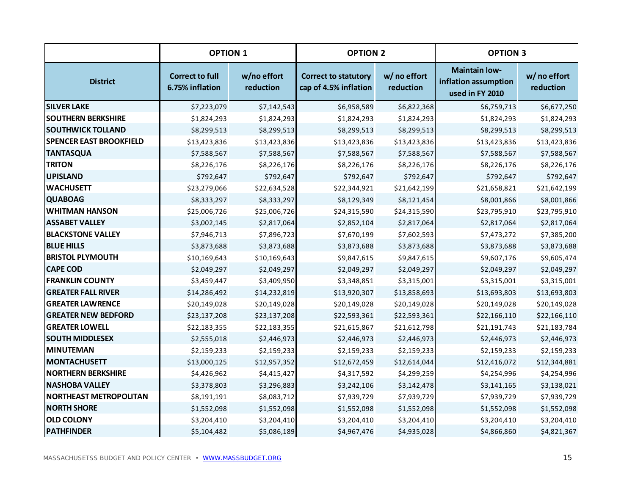|                                | <b>OPTION 1</b>                           |                          | <b>OPTION 2</b>                                      |                           | <b>OPTION 3</b>                                                 |                           |
|--------------------------------|-------------------------------------------|--------------------------|------------------------------------------------------|---------------------------|-----------------------------------------------------------------|---------------------------|
| <b>District</b>                | <b>Correct to full</b><br>6.75% inflation | w/no effort<br>reduction | <b>Correct to statutory</b><br>cap of 4.5% inflation | w/ no effort<br>reduction | <b>Maintain low-</b><br>inflation assumption<br>used in FY 2010 | w/ no effort<br>reduction |
| <b>SILVER LAKE</b>             | \$7,223,079                               | \$7,142,543              | \$6,958,589                                          | \$6,822,368               | \$6,759,713                                                     | \$6,677,250               |
| <b>SOUTHERN BERKSHIRE</b>      | \$1,824,293                               | \$1,824,293              | \$1,824,293                                          | \$1,824,293               | \$1,824,293                                                     | \$1,824,293               |
| <b>SOUTHWICK TOLLAND</b>       | \$8,299,513                               | \$8,299,513              | \$8,299,513                                          | \$8,299,513               | \$8,299,513                                                     | \$8,299,513               |
| <b>SPENCER EAST BROOKFIELD</b> | \$13,423,836                              | \$13,423,836             | \$13,423,836                                         | \$13,423,836              | \$13,423,836                                                    | \$13,423,836              |
| <b>TANTASQUA</b>               | \$7,588,567                               | \$7,588,567              | \$7,588,567                                          | \$7,588,567               | \$7,588,567                                                     | \$7,588,567               |
| <b>TRITON</b>                  | \$8,226,176                               | \$8,226,176              | \$8,226,176                                          | \$8,226,176               | \$8,226,176                                                     | \$8,226,176               |
| <b>UPISLAND</b>                | \$792,647                                 | \$792,647                | \$792,647                                            | \$792,647                 | \$792,647                                                       | \$792,647                 |
| <b>WACHUSETT</b>               | \$23,279,066                              | \$22,634,528             | \$22,344,921                                         | \$21,642,199              | \$21,658,821                                                    | \$21,642,199              |
| <b>QUABOAG</b>                 | \$8,333,297                               | \$8,333,297              | \$8,129,349                                          | \$8,121,454               | \$8,001,866                                                     | \$8,001,866               |
| <b>WHITMAN HANSON</b>          | \$25,006,726                              | \$25,006,726             | \$24,315,590                                         | \$24,315,590              | \$23,795,910                                                    | \$23,795,910              |
| <b>ASSABET VALLEY</b>          | \$3,002,145                               | \$2,817,064              | \$2,852,104                                          | \$2,817,064               | \$2,817,064                                                     | \$2,817,064               |
| <b>BLACKSTONE VALLEY</b>       | \$7,946,713                               | \$7,896,723              | \$7,670,199                                          | \$7,602,593               | \$7,473,272                                                     | \$7,385,200               |
| <b>BLUE HILLS</b>              | \$3,873,688                               | \$3,873,688              | \$3,873,688                                          | \$3,873,688               | \$3,873,688                                                     | \$3,873,688               |
| <b>BRISTOL PLYMOUTH</b>        | \$10,169,643                              | \$10,169,643             | \$9,847,615                                          | \$9,847,615               | \$9,607,176                                                     | \$9,605,474               |
| <b>CAPE COD</b>                | \$2,049,297                               | \$2,049,297              | \$2,049,297                                          | \$2,049,297               | \$2,049,297                                                     | \$2,049,297               |
| <b>FRANKLIN COUNTY</b>         | \$3,459,447                               | \$3,409,950              | \$3,348,851                                          | \$3,315,001               | \$3,315,001                                                     | \$3,315,001               |
| <b>GREATER FALL RIVER</b>      | \$14,286,492                              | \$14,232,819             | \$13,920,307                                         | \$13,858,693              | \$13,693,803                                                    | \$13,693,803              |
| <b>GREATER LAWRENCE</b>        | \$20,149,028                              | \$20,149,028             | \$20,149,028                                         | \$20,149,028              | \$20,149,028                                                    | \$20,149,028              |
| <b>GREATER NEW BEDFORD</b>     | \$23,137,208                              | \$23,137,208             | \$22,593,361                                         | \$22,593,361              | \$22,166,110                                                    | \$22,166,110              |
| <b>GREATER LOWELL</b>          | \$22,183,355                              | \$22,183,355             | \$21,615,867                                         | \$21,612,798              | \$21,191,743                                                    | \$21,183,784              |
| <b>SOUTH MIDDLESEX</b>         | \$2,555,018                               | \$2,446,973              | \$2,446,973                                          | \$2,446,973               | \$2,446,973                                                     | \$2,446,973               |
| MINUTEMAN                      | \$2,159,233                               | \$2,159,233              | \$2,159,233                                          | \$2,159,233               | \$2,159,233                                                     | \$2,159,233               |
| MONTACHUSETT                   | \$13,000,125                              | \$12,957,352             | \$12,672,459                                         | \$12,614,044              | \$12,416,072                                                    | \$12,344,881              |
| <b>NORTHERN BERKSHIRE</b>      | \$4,426,962                               | \$4,415,427              | \$4,317,592                                          | \$4,299,259               | \$4,254,996                                                     | \$4,254,996               |
| <b>NASHOBA VALLEY</b>          | \$3,378,803                               | \$3,296,883              | \$3,242,106                                          | \$3,142,478               | \$3,141,165                                                     | \$3,138,021               |
| <b>NORTHEAST METROPOLITAN</b>  | \$8,191,191                               | \$8,083,712              | \$7,939,729                                          | \$7,939,729               | \$7,939,729                                                     | \$7,939,729               |
| <b>NORTH SHORE</b>             | \$1,552,098                               | \$1,552,098              | \$1,552,098                                          | \$1,552,098               | \$1,552,098                                                     | \$1,552,098               |
| <b>OLD COLONY</b>              | \$3,204,410                               | \$3,204,410              | \$3,204,410                                          | \$3,204,410               | \$3,204,410                                                     | \$3,204,410               |
| <b>PATHFINDER</b>              | \$5,104,482                               | \$5,086,189              | \$4,967,476                                          | \$4,935,028               | \$4,866,860                                                     | \$4,821,367               |